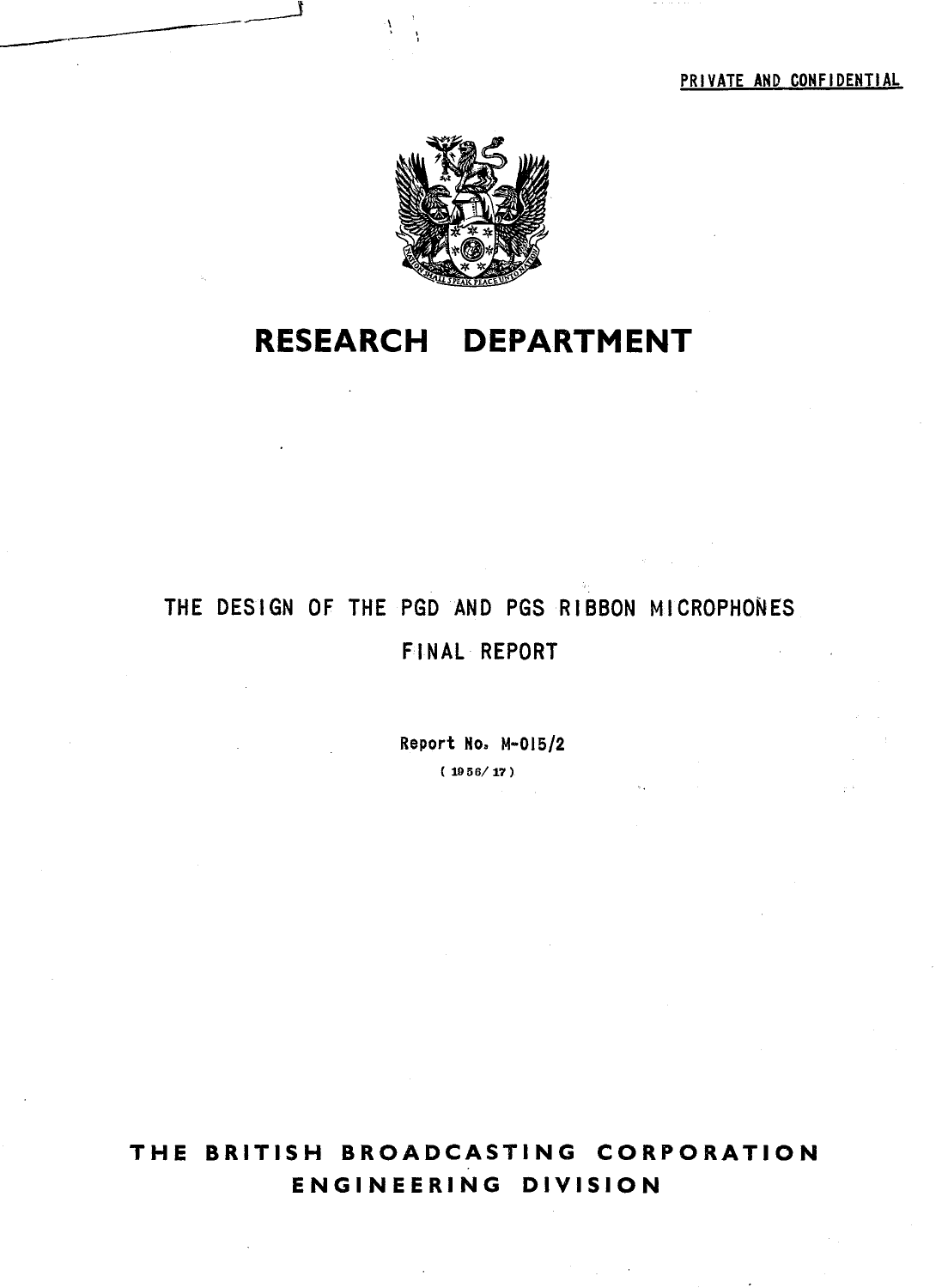PRIVATE AND CONFIDENTIAL



# **RESEARCH DEPARTMENT**

# THE DESIGN OF THE PGD AND PGS RIBBON MICROPHONES FINAL REPORT

Report No. M-OIS/2

( 1956/17)

# **THE BRITISH BROADCASTING CORPORATION ENGINEERING DIVISION**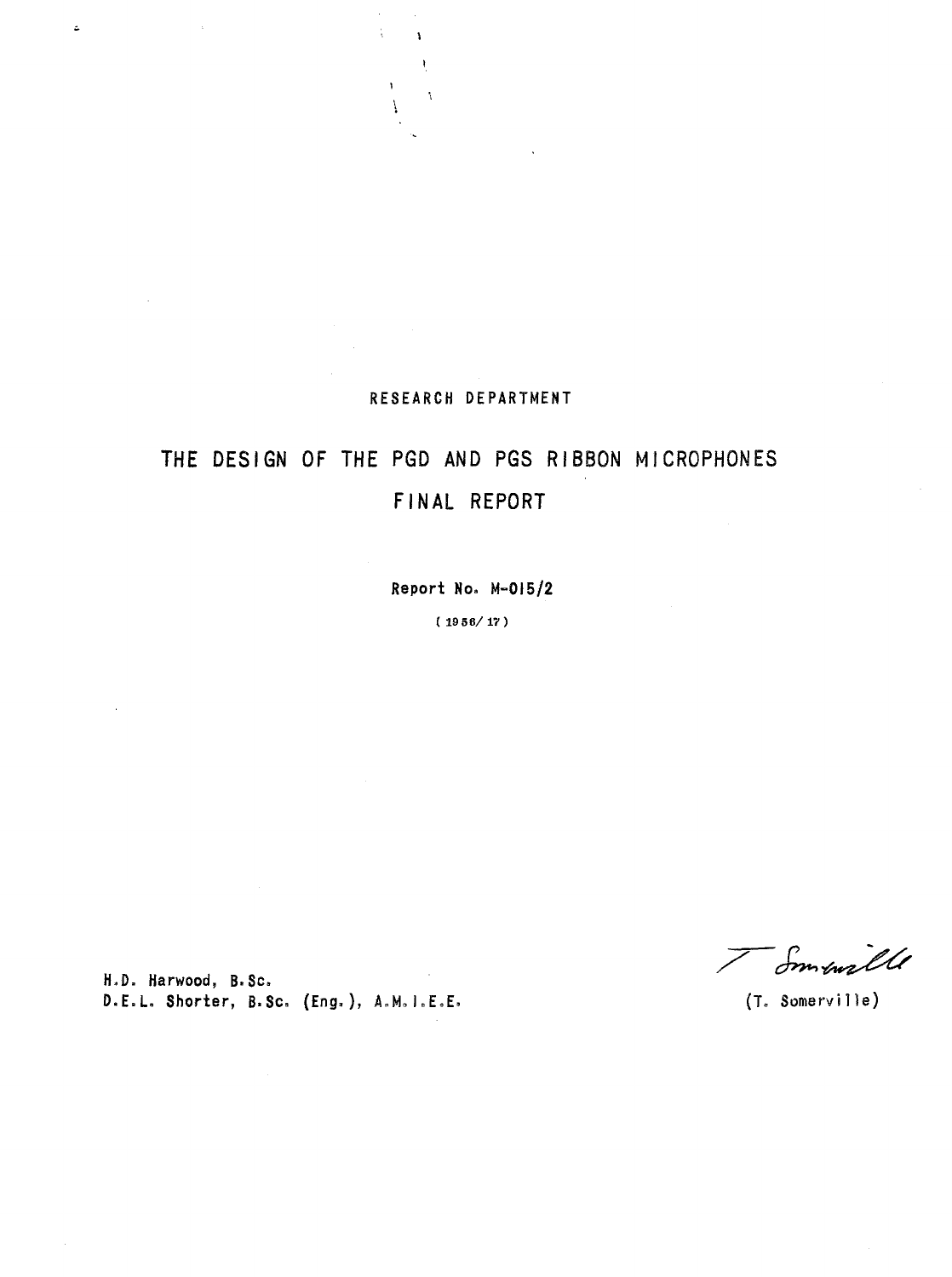## RESEARCH DEPARTMENT

÷,

 $\overline{1}$ 

 $\mathbf{A}$  $\mathbf{I}$  $\boldsymbol{\dot{\mathbf{z}}}$ 

# THE DESIGN OF THE PGD AND PGS RIBBON MICROPHONES FINAL REPORT

Report No. M-OI5/2

( 1956/17)

H.D. Harwood, B.Sc. D.E.L. Shorter, B.Sc. (Eng.), A.M.I.E.E. (T. Somerville)

ä,

I Small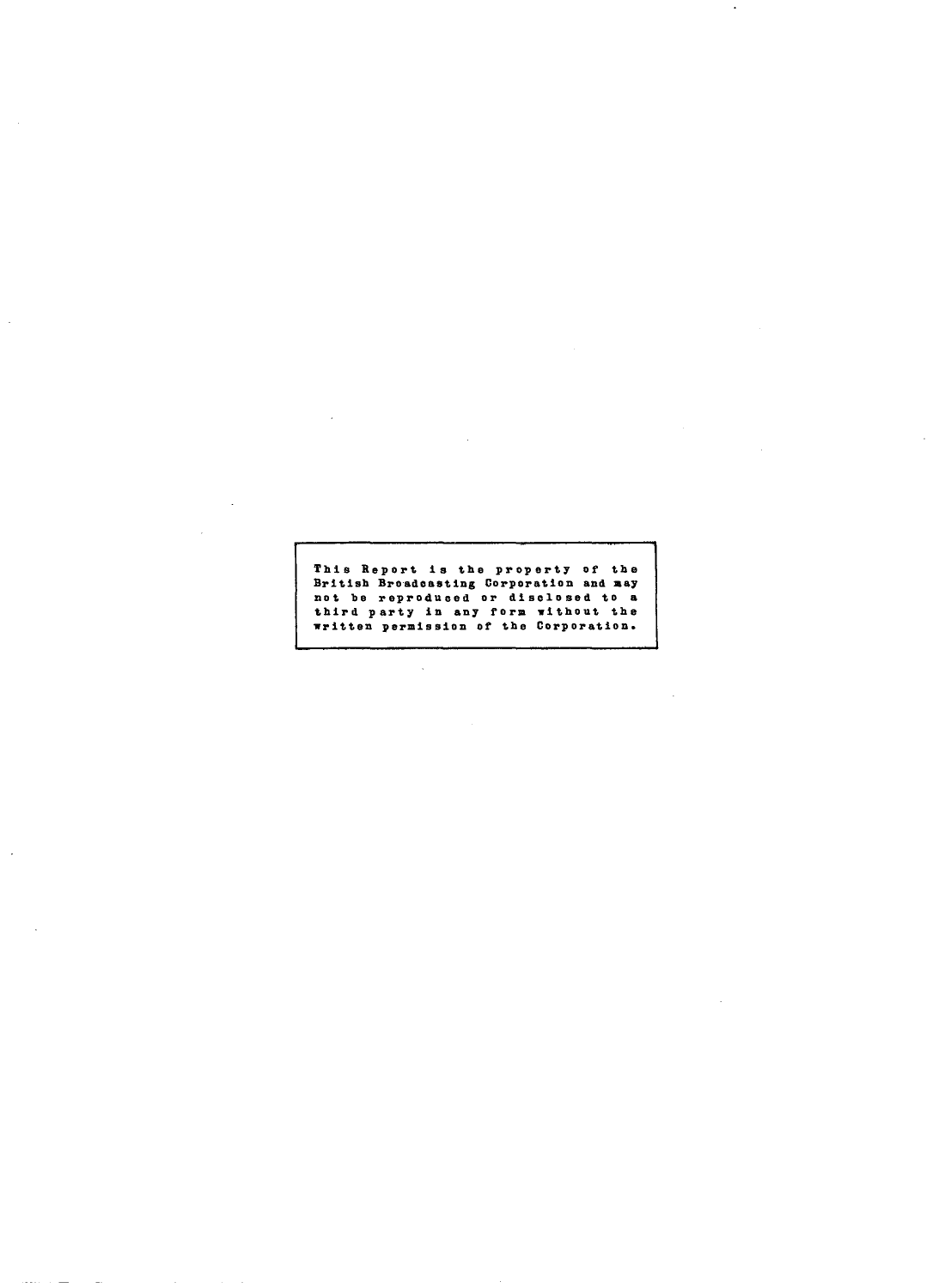This Report is the property of the British Broadcasting Corporation and may not be reproduced or disclosed to a<br>not be reproduced or disclosed to a<br>third party in any form without the<br>written permission of the Corporation.

 $\bar{z}$ 

J.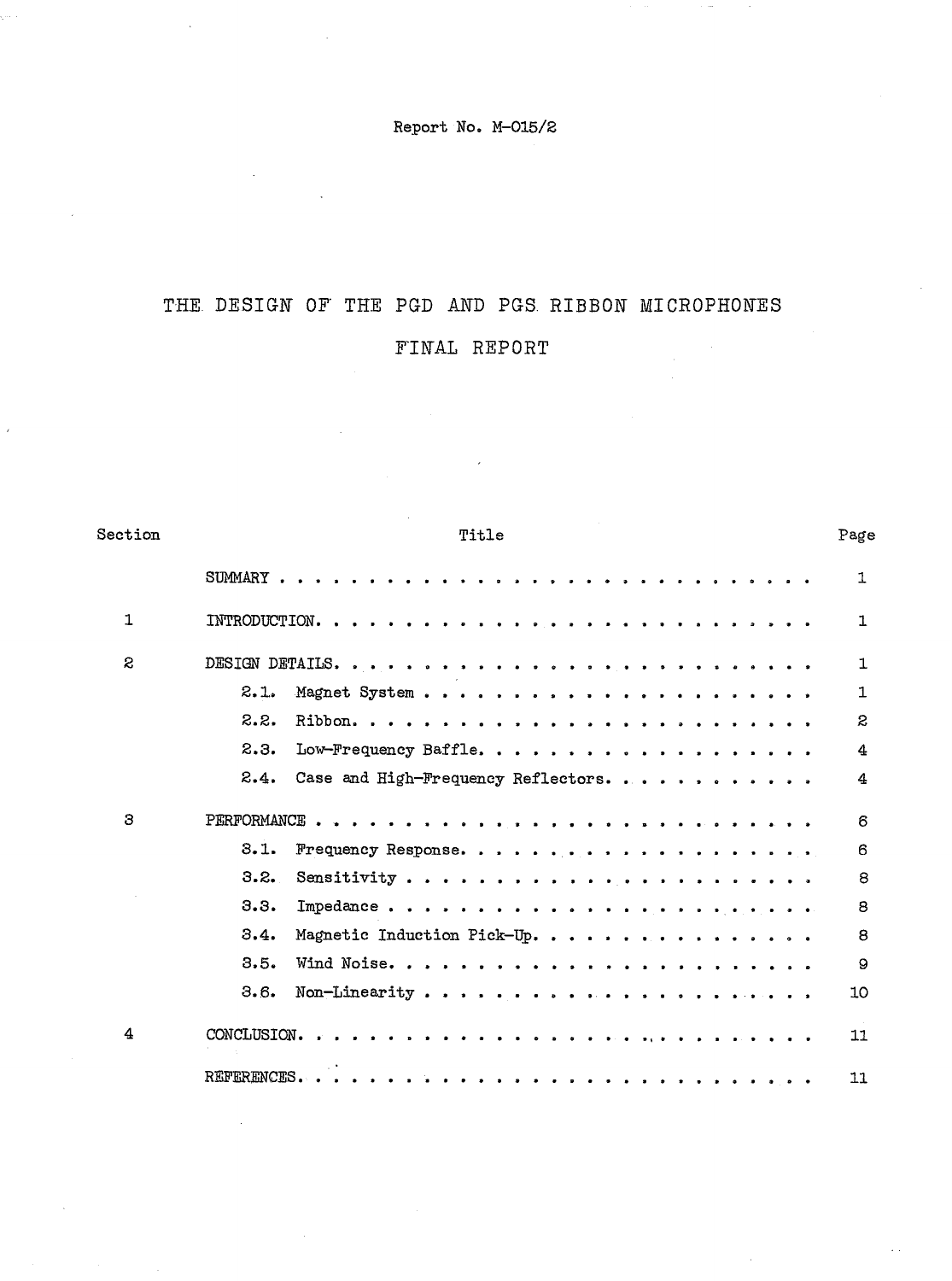Report No. M-015/2

## THE DESIGN OF' THE PGD AND PGS. RIBBON MICROPHONES

## F'INAL REPORT

| Section      | Title                                       | Page         |
|--------------|---------------------------------------------|--------------|
|              |                                             | 1            |
| $\mathbf{1}$ |                                             | 1            |
| $\mathbf{z}$ |                                             | $\mathbb{1}$ |
|              | 2.1.                                        | 1            |
|              | 2.2.                                        | 2            |
|              | 2.3.<br>Low-Frequency Baffle.               | 4            |
|              | 2.4.<br>Case and High-Frequency Reflectors. | 4            |
| 3            |                                             | 6            |
|              | 3.1.                                        | 6            |
|              | 3.2.                                        | 8            |
|              | 3.3.                                        | 8            |
|              | 3.4.<br>Magnetic Induction Pick-Up.         | 8            |
|              | 3.5.                                        | 9            |
|              | 3.6.                                        | 10           |
| 4            |                                             | 11           |
|              |                                             | 11           |

 $\omega$  .

 $\hat{\boldsymbol{\theta}}$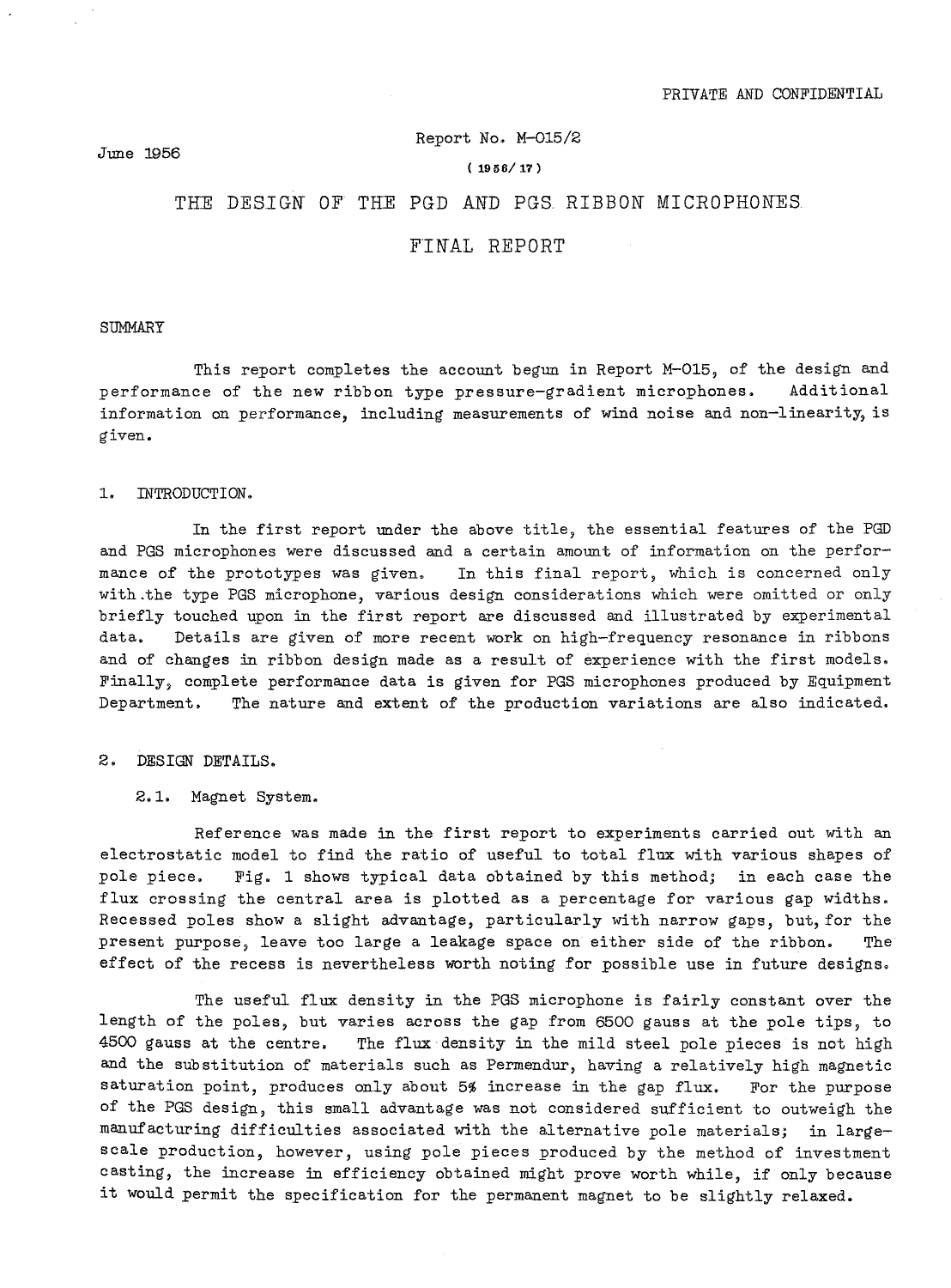#### June 1956

#### Report No. M-015/2

#### (1956/17)

### THE DESIGN OF THE PGD AND PGS RIBBON MICROPHONES

### FINAL REPORT

SUMMARY

This report completes the account begun in Report M-015, of the design and performance of the new ribbon type pressure-gradient microphones. Additional information on performance, including measurements of wind noise and non-linearity, is given.

1. INTRODUCTION.

In the first report under the above title, the essential features of the PGD and PGS microphones were discussed and a certain amount of information on the performance of the prototypes was given. In this final report, which is concerned only with.the type PGS microphone, various design considerations which were omitted or only briefly touched upon in the first report are discussed and illustrated by experimental data. Details are given of more recent work on high-frequency resonance in ribbons and of changes in ribbon design made as a result of experience with the first models. Finally, complete performance data is given for PGS microphones produced by Equipment Department. The nature and extent of the production variations are also indicated.

2. DESIGN DETAILS.

2.1. Magnet System.

Reference was made in the first report to experiments carried out with an electrostatic model to find the ratio of useful to total flux with various shapes of pole piece. Fig. 1 shows typical data obtained by this method; in each case the flux crossing the central area is plotted as a percentage for various gap widths. Recessed poles show a slight advantage, particularly with narrow gaps, but, for the present purpose, leave too large a leakage space on either side of the ribbon. The effect of the recess is nevertheless worth noting for possible use in future designs.

The useful flux density in the PGS microphone is fairly constant over the length of the poles, but varies across the gap from 6500 gauss at the pole tips, to 4500 gauss at the centre. The flux density in the mild steel pole pieces is not high and the SUbstitution of materials such as Permendur, having a relatively high magnetic saturation point, produces only about 5% increase in the gap flux. For the purpose of the PGS design, this small advantage was not considered sufficient to outweigh the manufacturing difficulties associated with the alternative pole materials; in 1argescale production, however, using pole pieces produced by the method of investment casting, the increase in efficiency obtained might prove worth while, if only because it would permit the specification for the permanent magnet to be slightly relaxed.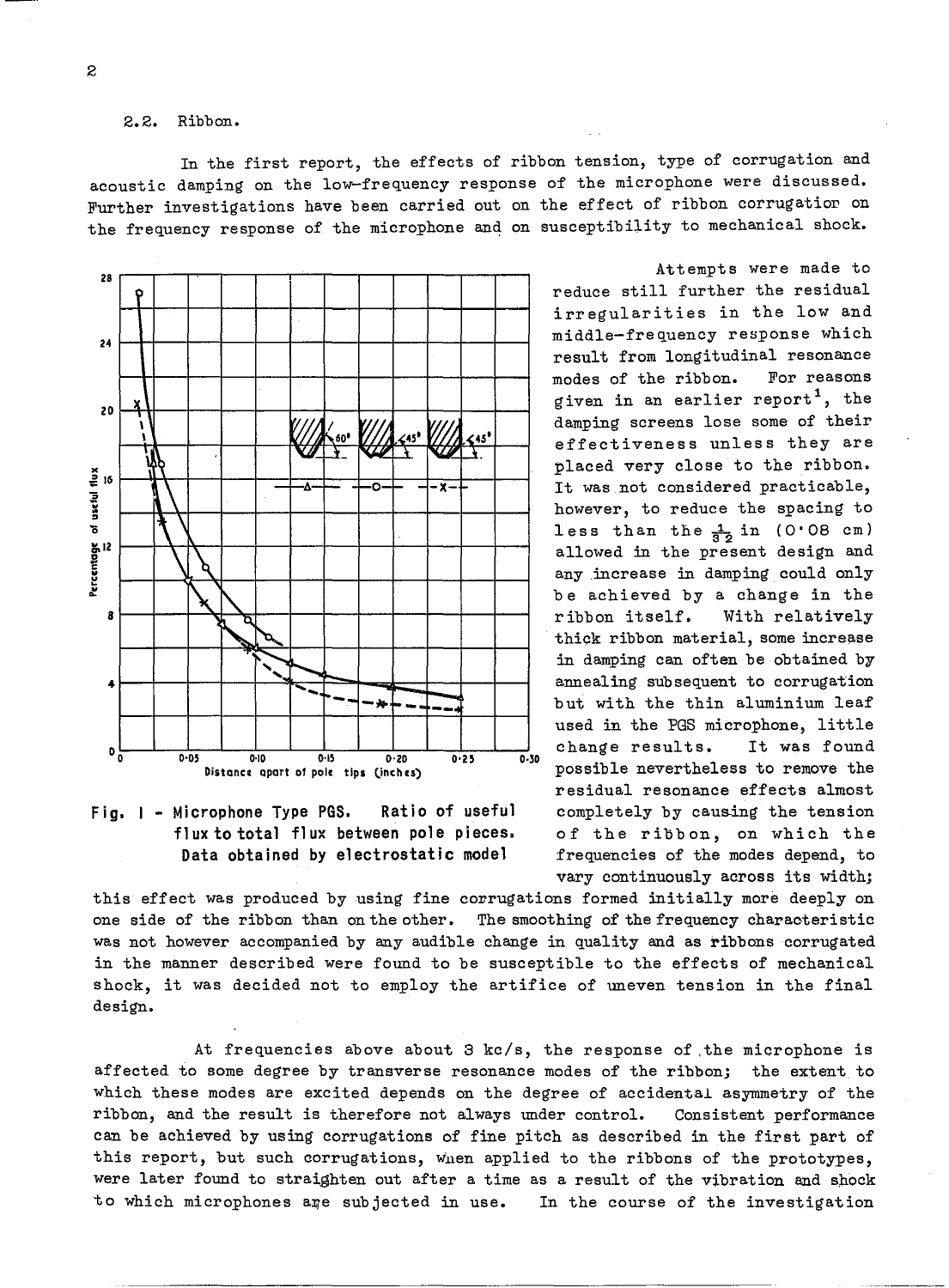#### 2.2. Ribbon.

In the first report, the effects of ribbon tension, type of corrugation and acoustic damping on the low-frequency response of the microphone were discussed. Further investigations have been carried out on the effect of ribbon corrugatior on the frequency response of the microphone and on susceptibility to mechanical shock.





Attempts were made to reduce still further the residual irregularities in the low and middle-frequency response which result from longitudinal resonance modes of the ribbon. For reasons given in an earlier report<sup>1</sup>, the damping screens lose some of their effectiveness unless they are placed very close to the ribbon. It was not considered practicable, however, to reduce the spacing to less than the  $\frac{1}{6}$  in (0.08 cm) allowed in the present design and any .increase in damping could only be achieved by a change in the ribbon itself. With relatively thick ribbon material, some increase in damping can often be obtained by annealing subsequent to corrugation but with the thin aluminium leaf used in the PGS microphone, little change results. It was found possible nevertheless to remove the residual resonance effects almost completely by cauaing the tension of the ribbon, on which the frequencies of the modes depend, to vary continuously across its width;

this effect was produced by using fine corrugations formed initially more deeply on one side of the ribbon than on the other. The smoothing of the frequency characteristic was not however accompanied by any audible change in quality and as ribbons corrugated in the manner described were found to be susceptible to the effects of mechanical shock, it was decided not to employ the artifice of uneven tension in the final design.

At frequencies above about 3 kc/s, the response of .the microphone is affected to some degree by transverse resonance modes of the ribbon; the extent to which these modes are excited depends on the degree of accidental asymmetry of the ribbon, and the result is therefore not always under control. Consistent performance can be achieved by using corrugations of fine pitch as described in the first part of this report, but such corrugations, wnen applied to the ribbons of the prototypes, were later found to straighten out after a time as a result of the vibration and shock to which microphones are subjected in use. In the course of the investigation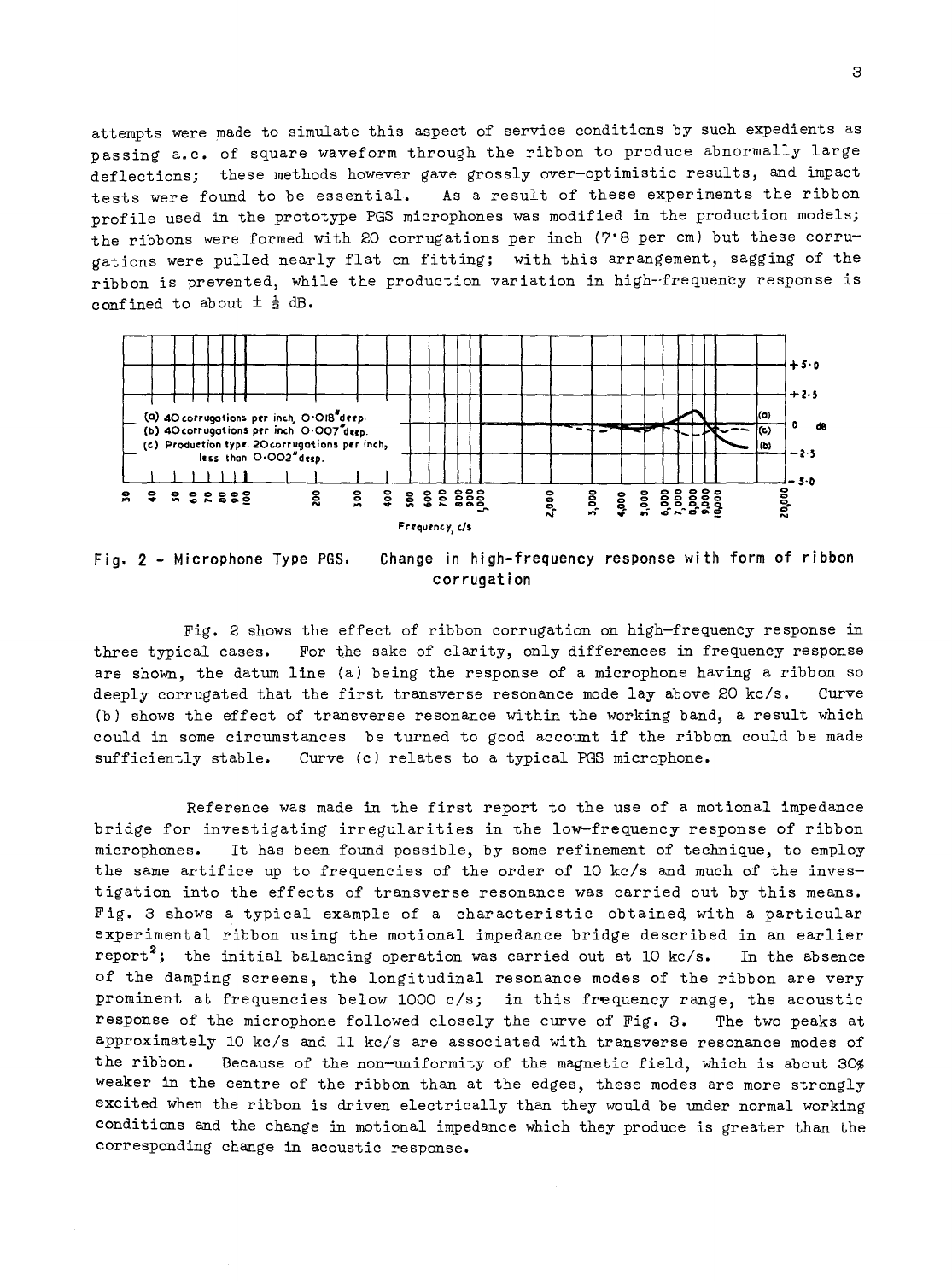attempts were made to simulate this aspect of service conditions by such expedients as passing a.c. of square waveform through the ribbon to produce abnormally large deflections; these methods however gave grossly over-optimistic results, and impact tests were found to be essential. As a result of these experiments the ribbon profile used in the prototype PGS microphones was modified in the production models; the ribbons were formed with 20 corrugations per inch (7'S per cm) but these corrugations were pulled nearly flat on fitting; with this arrangement, sagging of the ribbon is prevented, while the production variation in high--frequency response is confined to about  $\pm \frac{1}{2}$  dB.



Fig. 2 - Microphone Type PGS. Change in high-frequency response with form of ribbon corrugation

Fig. 2 shows the effect of ribbon corrugation on high-frequency response in three typical cases. For the sake of clarity, only differences in frequency response are shown, the datum line (a) being the response of a microphone having a ribbon so deeply corrugated that the first transverse resonance mode lay above 20 kc/s. Curve (b) shows the effect of transverse resonance within the working band, a result which could in some circumstances be turned to good account if the ribbon could be made sufficiently stable. Curve (c) relates to a typical PGS microphone.

Reference was made in the first report to the use of a motional impedance bridge for investigating irregularities in the low-frequency response of ribbon microphones. It has been found possible, by some refinement of technique, to employ the same artifice up to frequencies of the order of 10 kc/s and much of the investigation into the effects of transverse resonance was carried out by this means. Fig. 3 shows a typical example of a characteristic obtained, with a particular experimental ribbon using the motional impedance bridge described in an earlier report<sup>2</sup>; the initial balancing operation was carried out at 10 kc/s. In the absence of the damping screens, the longitudinal resonance modes of the ribbon are very prominent at frequencies below 1000  $c/s$ ; in this frequency range, the acoustic response of the microphone followed closely the curve of Fig. 3. The two peaks at approximately 10 kc/s and 11 kc/s are associated with transverse resonance modes of the ribbon. Because of the non-uniformity of the magnetic field, which is about 30% weaker in the centre of the ribbon than at the edges, these modes are more strongly excited when the ribbon is driven electrically than they would be under normal working conditions and the change in motional impedance which they produce is greater than the corresponding change in acoustic response.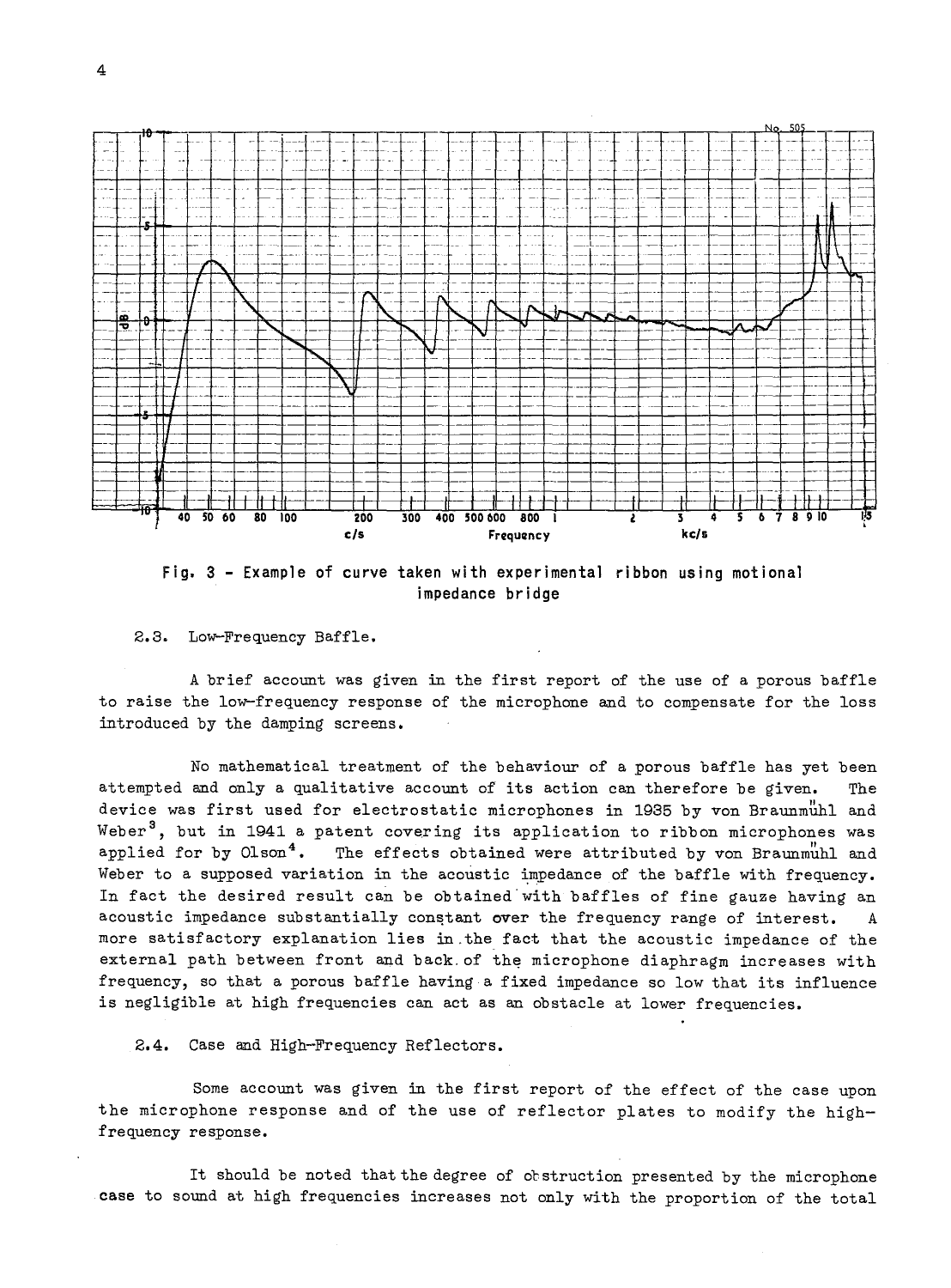

**Fig. 3 - Example of curve taken with experimental ribbon using motional impedance bridge** 

2.3. Low-Frequency Baffle.

A brief account was given in the first report of the use of a porous baffle to raise the low-frequency response of the microphone and to compensate for the loss introduced by the damping screens.

No mathematical treatment of the behaviour of a porous baffle has yet been attempted and only a qualitative account of its action can therefore be given. The device was first used for electrostatic microphones in 1935 by von Braunmunl and Weber<sup>3</sup>, but in 1941 a patent covering its application to ribbon microphones was applied for by Olson<sup>4</sup>. The effects obtained were attributed by von Braunmuhl and Weber to a supposed variation in the acoustic impedance of the baffle with frequency. In fact the desired result can be obtained'with baffles of fine gauze having an acoustic impedance substantially constant over the frequency range of interest. A more satisfactory explanation lies in.the fact that the acoustic impedance of the external path between front and back of the microphone diaphragm increases with frequency, so that a porous baffle having a fixed impedance so low that its influence is negligible at high frequencies can act as an obstacle at lower frequencies.

**2.4.** Case and High-Frequency Reflectors.

Some account was given in the first report of the effect of the case upon the microphone response and of the use of reflector plates to modify the highfrequency response.

It should be noted that the degree of obstruction presented by the microphone case to sound at high frequencies increases not only with the proportion of the total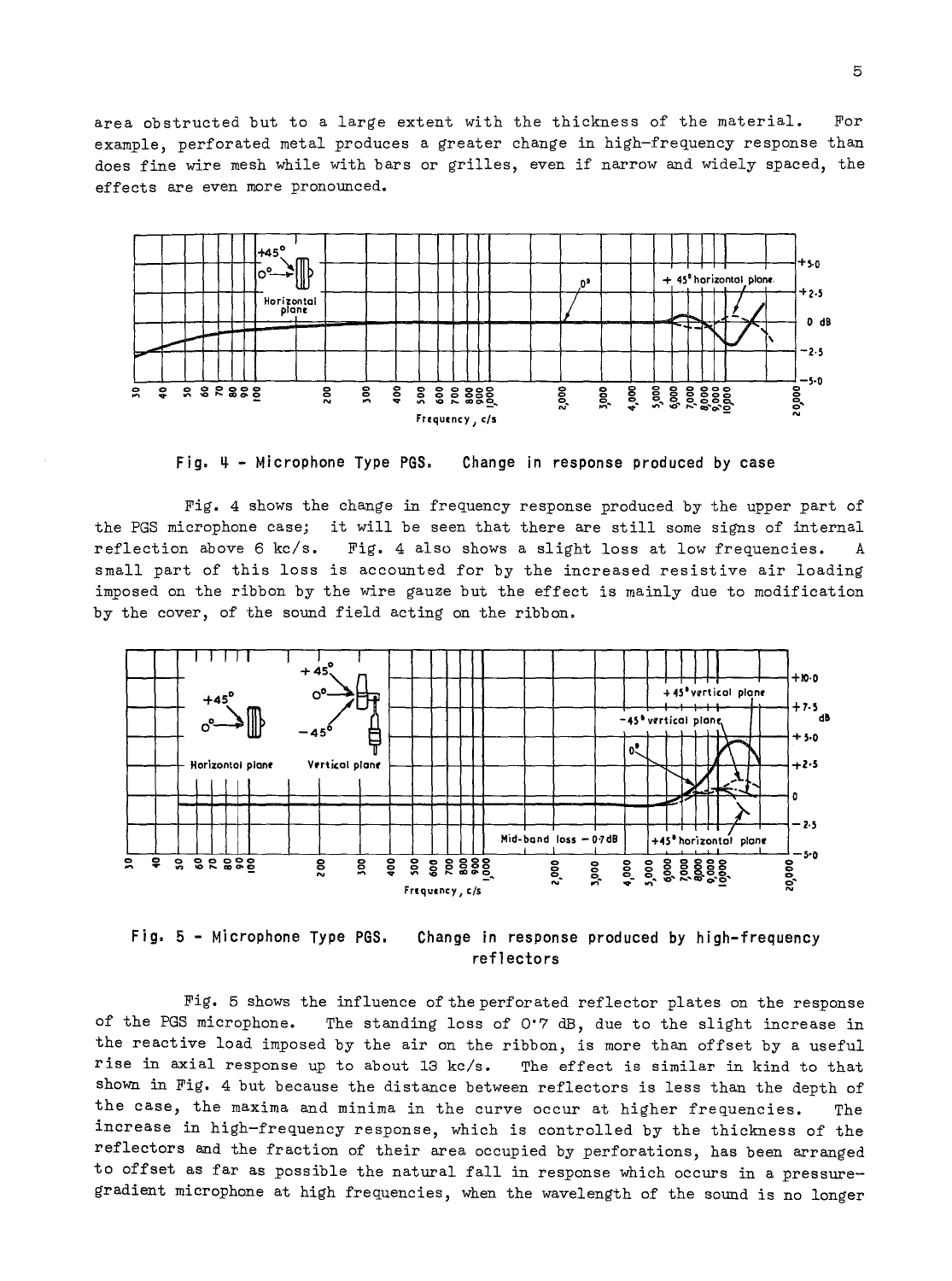area obstructed but to a large extent with the thickness of the material. For example, perforated metal produces a greater change in high-frequency response than does fine wire mesh while with bars or grilles, even if narrow and widely spaced, the effects are even more pronounced.



Fig.  $4 -$  Microphone Type PGS. Change in response produced by case

Fig. 4 shows the change in frequency response produced by the upper part of the PGS microphone case; it will be seen that there are still some signs of internal reflection above 6 kc/s. Fig. 4 also shows a slight loss at low frequencies. A small part of this loss is accounted for by the increased resistive air loading imposed on the ribbon by the wire gauze but the effect is mainly due to modification by the cover, of the sound field acting on the ribbon.



Fig, 5 - Microphone Type PGS. Change in response produced by high-frequency ref1 ectors

Fig. 5 shows the influence of the perforated reflector plates on the response of the PGS microphone. The standing loss of 0'7 dB, due to the slight increase in the reactive load imposed by the air on the ribbon, is more than offset by a useful rise in axial response up to about 13 kc/s. The effect is similar in kind to that shown in Fig. 4 but because the distance between reflectors is less than the depth of the case, the maxima and minima in the curve occur at higher frequencies. The increase in high-frequency response, which is controlled by the thickness of the reflectors and the fraction of their area occupied by perforations, has been arranged to offset as far as possible the natural fall in response which occurs in a pressuregradient microphone at high frequencies, when the wavelength of the sound is no longer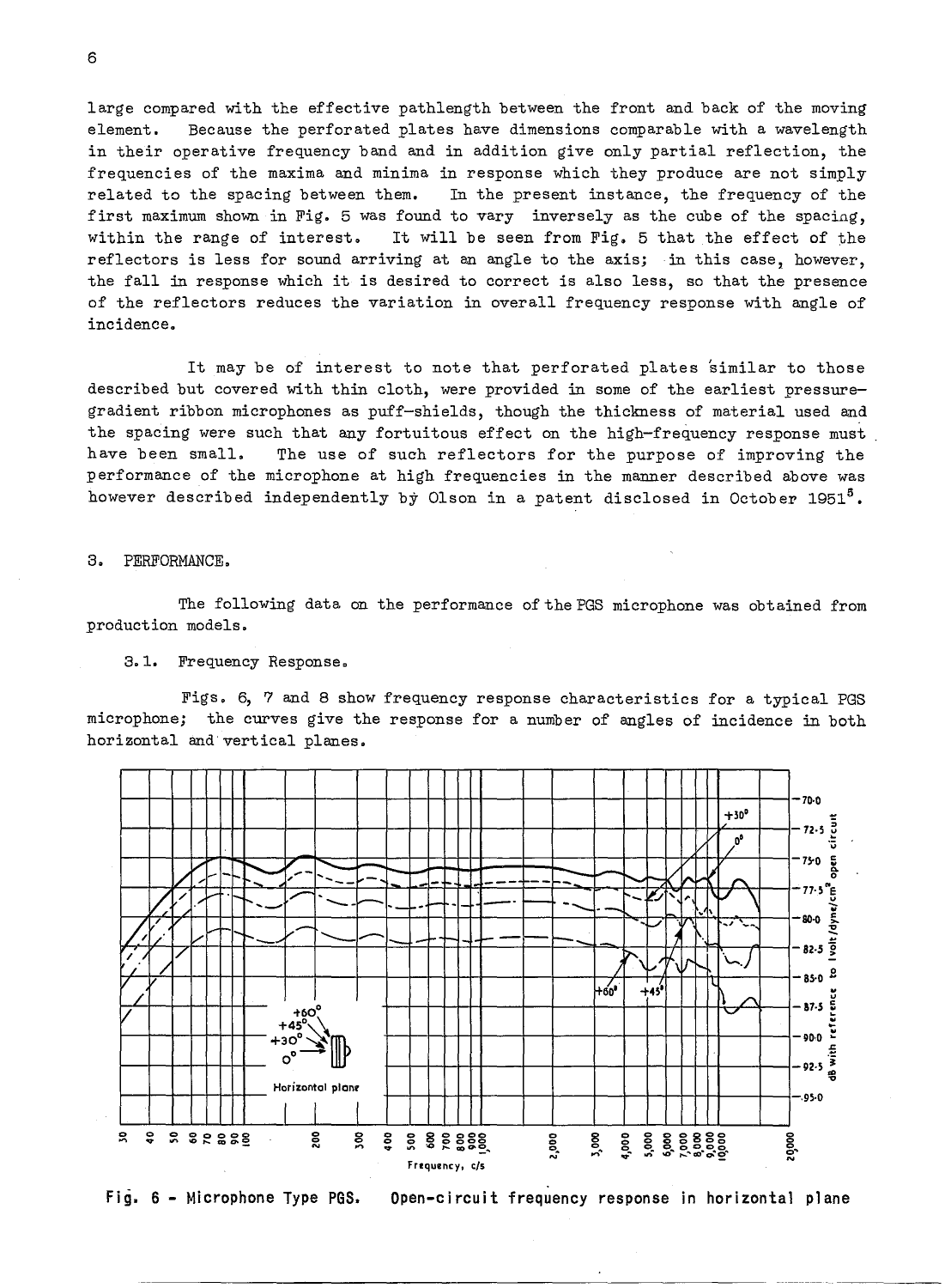large compared with the effective pathlength between the front and back of the moving element. Because the perforated plates have dimensions comparable with a wavelength in their operative frequency band and in addition give only partial reflection, the frequencies of the maxima and minima in response which they produce are not simply related to the spacing between them. In the present instance, the frequency of the first maximum shown in Fig. 5 was found to vary inversely as the cube of the spacing, within the range of interest. It will be seen from Fig. 5 that the effect of the reflectors is less for sound arriving at an angle to the axis; in this case, however, the fall in response which it is desired to correct is also less, so that the presence of the reflectors reduces the variation in overall frequency response with angle of incidence.

It may be of interest to note that perforated plates similar to those described but covered with thin cloth, were provided in some of the earliest pressuregradient ribbon microphones as puff-shields, though the thickness of material used and the spacing were such that any fortuitous effect on the high-frequency response must have been small. The use of such reflectors for the purpose of improving the performance of the microphone at high frequencies in the manner described above was however described independently by Olson in a patent disclosed in October 1951<sup>5</sup>.

3. PERFORMANCE.

The following data on the performance of the PGS microphone was obtained from production models.

3.1. Frequency Response.

Figs. 6, 7 and 8 show frequency response characteristics for a typical PGS microphone; the curves give the response for a number of angles of incidence in both horizontal and vertical planes.



Fig. 6 - Microphone Type PGS. Open-circuit frequency response in horizontal plane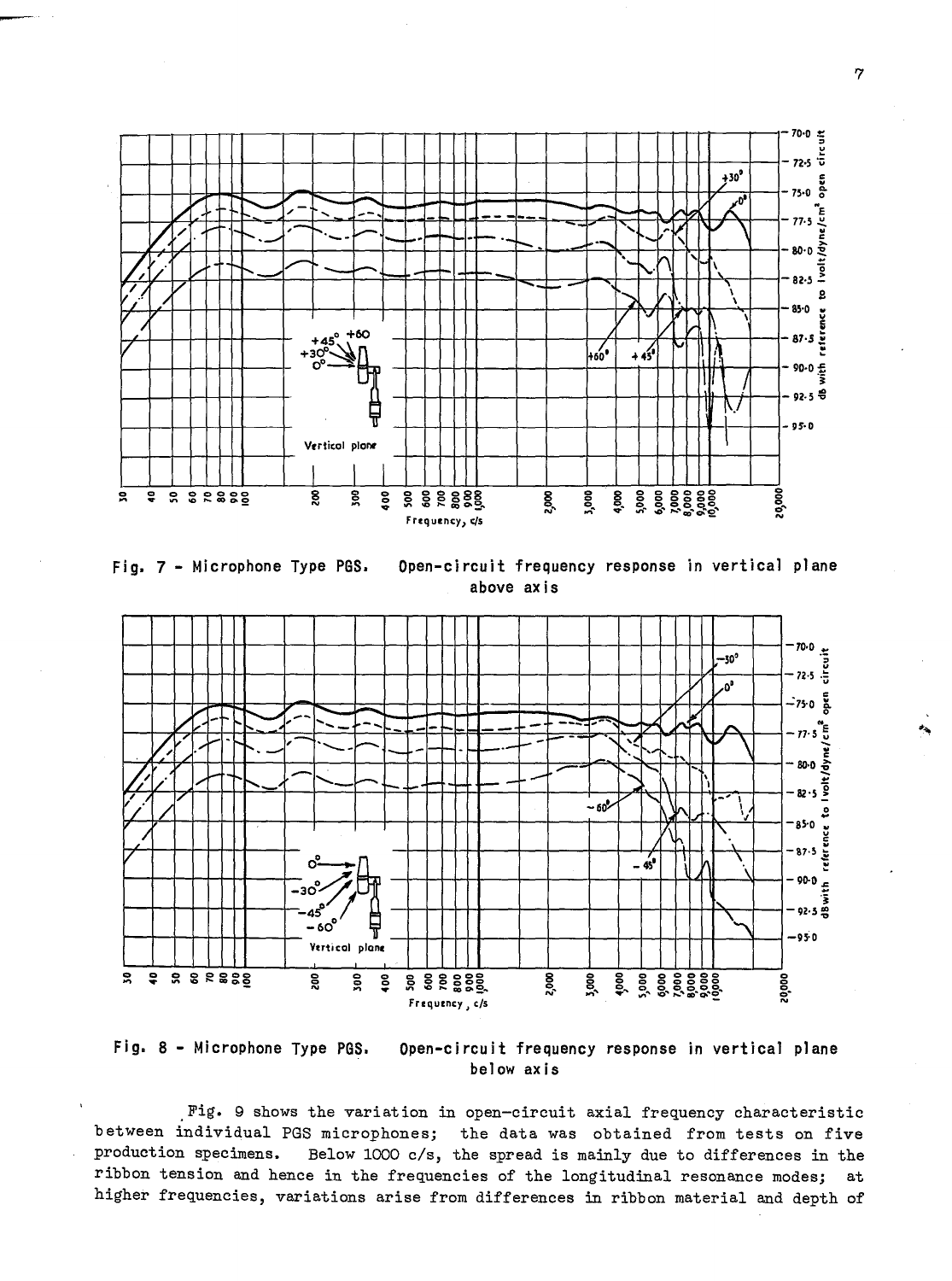

Fig. 7 - Microphone Type PGS. Open-circuit frequency response in vertical plane above axis





Fig. 9 shows the variation in open-circuit axial frequency characteristic between individual PGS microphones; the data was obtained from tests on five production specimens. Below 1000 *cls,* the spread is mainly due to differences in the ribbon tension and hence in the frequencies of the longitudinal resonance modes; at higher frequencies, variations arise from differences in ribbon material and depth of

7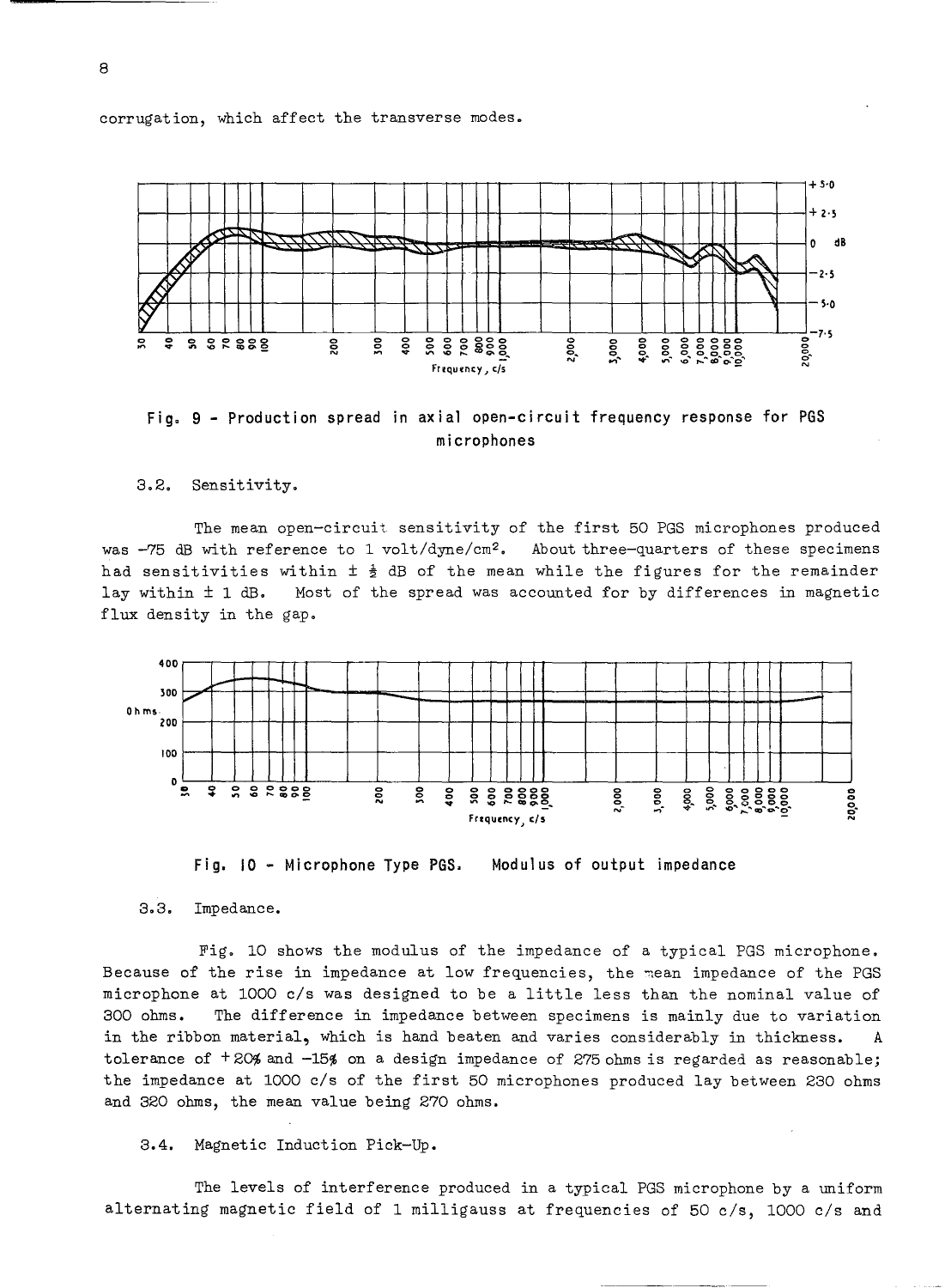corrugation, which affect the transverse modes.





3,2. Sensitivity.

The mean open-circuit sensitivity of the first 50 PGS microphones produced was -75 dB with reference to 1 volt/dyne/cm<sup>2</sup>. About three-quarters of these specimens had sensitivities within  $\pm \frac{1}{2}$  dB of the mean while the figures for the remainder lay within ± 1 dB. Most of the spread was accounted for by differences in magnetic flux density in the gap.



Fig. 10 - Microphone Type PGS. Modulus of output impedance

3,3. Impedance.

Fig. 10 shows the modulus of the impedance of a typical PGS microphone. Because of the rise in impedance at low frequencies, the mean impedance of the PGS microphone at 1000 c/s was designed to be a little less than the nominal value of 300 ohms. The difference in impedance between specimens is mainly due to variation in the ribbon material, which is hand beaten and varies considerably in thickness. A tolerance of  $+20$ % and  $-15$ % on a design impedance of 275 ohms is regarded as reasonable; the impedance at 1000 c/s of the first 50 microphones produced lay between 230 ohms and 320 ohms, the mean value being 270 ohms.

3.4. Magnetic Induction Pick-Up.

The levels of interference produced in a typical PGS microphone by a uniform alternating magnetic field of 1 milligauss at frequencies of 50 c/s, 1000 c/s and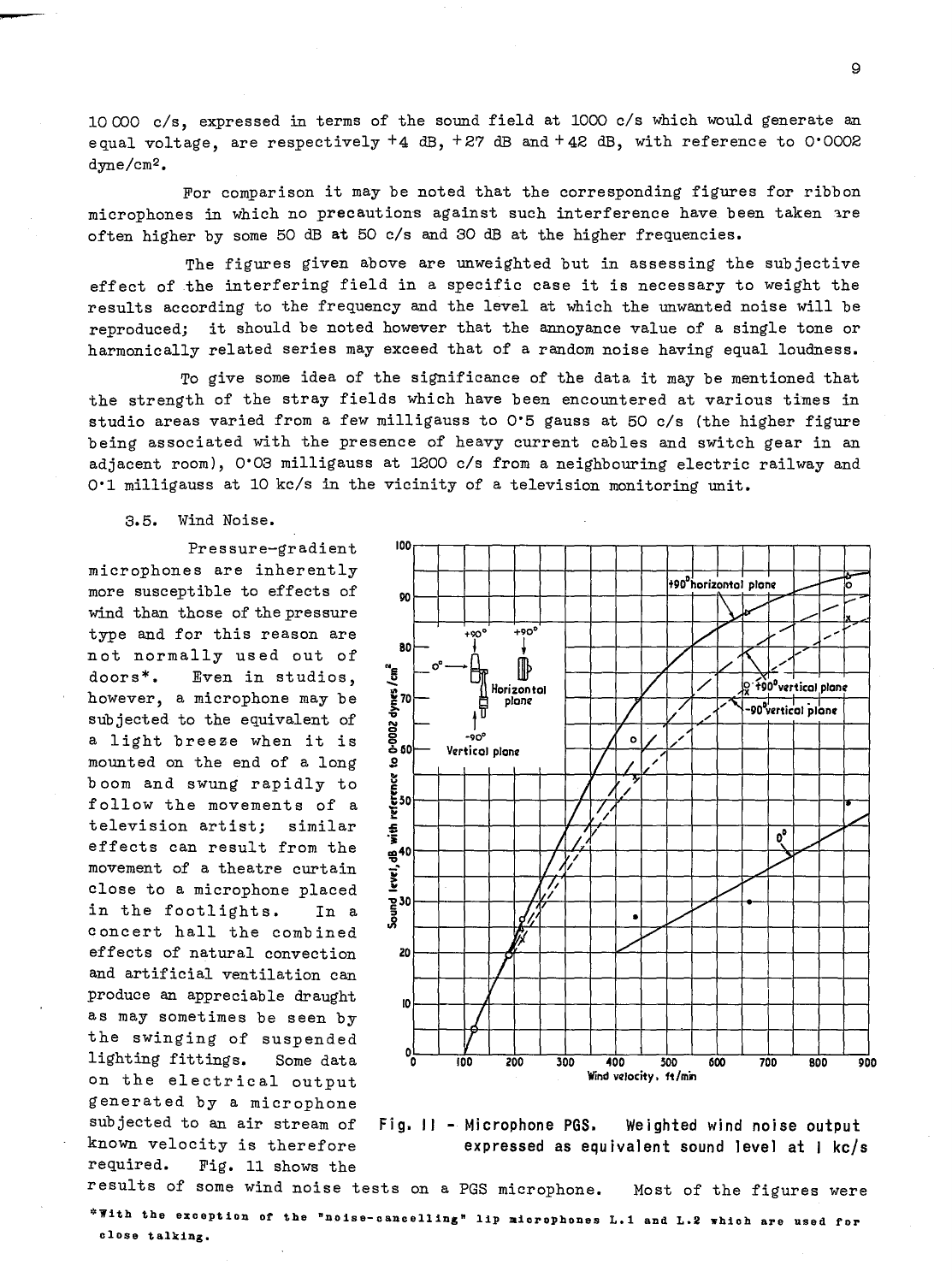$10000 c/s$ , expressed in terms of the sound field at 1000 c/s which would generate an equal voltage, are respectively  $+4$  dB,  $+27$  dB and  $+42$  dB, with reference to 0'0002 dyne/cm2 •

For comparison it may be noted that the corresponding figures for ribbon microphones in which no precautions against such interference have been taken are often higher by some 50 dB at 50 c/s and 30 dB at the higher frequencies.

The figures given above are unweighted but in assessing the subjective effect of the interfering field in a specific case it is necessary to weight the results according to the frequency and the level at which the unwanted noise will be reproduced; it should be noted however that the annoyance value of a single tone or harmonically related series may exceed that of a random noise having equal loudness.

To give some idea of the significance of the data it may be mentioned that the strength of the stray fields which have been encountered at various times in studio areas varied from a few milligauss to  $0.5$  gauss at  $50$  c/s (the higher figure being associated with the presence of heavy current cables and switch gear in an adjacent room), 0°03 milligauss at 1200 c/s from a neighbouring electric railway and 0.1 milligauss at 10 kc/s in the vicinity of a television monitoring unit.

3.5. Wind Noise.

Pressure-gradient microphones are inherently more susceptible to effects of wind than those of the pressure type and for this reason are not normally used out of doors\*. Even in studios, however, a microphone may be subjected to the equivalent of a light breeze when it is mounted on the end of a long boom and swung rapidly to follow the movements of a television artist; similar effects can result from the movement of a theatre curtain close to a microphone placed in the footlights. In a concert hall the combined effects of natural convection and artificial ventilation can produce an appreciable draught as may sometimes be seen by the swinging of suspended lighting fittings. Some data on the electrical output generated by a microphone subjected to an air stream of known velocity is therefore required. Fig. 11 shows the



Fig. 11 - Microphone PGS. Weighted wind noise output expressed as equivalent sound level at I kc/s

results of some wind noise tests on a PGS microphone. Most of the figures were \*With the exception of the "noise-cancelling" lip microphones L.1 and L.2 which are used for close talking.

 $\alpha$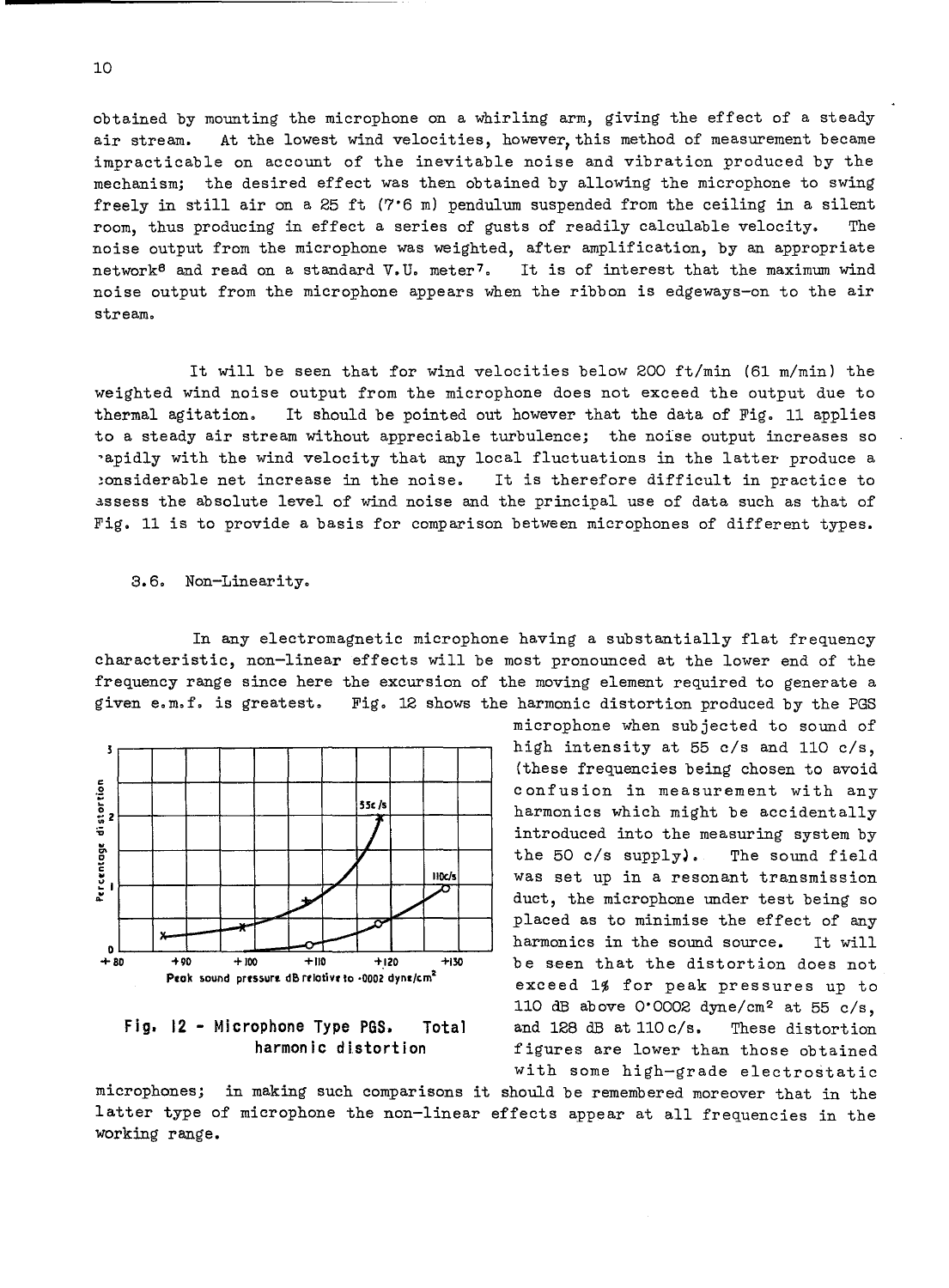obtained by mounting the microphone on a whirling arm, giving the effect of a steady air stream. At the lowest wind velocities, however,this method of measurement became impracticable on account of the inevitable noise and vibration produced by the mechanism; the desired effect was then obtained by allowing the microphone to swing freely in still air on a 25 ft (7'6 m) pendulum suspended from the ceiling in a silent room, thus producing in effect a series of gusts of readily calculable velocity. The noise output from the microphone was weighted, after amplification, by an appropriate network<sup>6</sup> and read on a standard V.U. meter7. It is of interest that the maximum wind noise output from the microphone appears when the ribbon is edgeways-on to the air stream.

It will be seen that for wind velocities below 200 ft/min (61 m/min) the weighted wind noise output from the microphone does not exceed the output due to thermal agitation. It should be pointed out however that the data of Fig. 11 applies to a steady air stream without appreciable turbulence; the noise output increases so 'apidly with the wind velocity that any local fluctuations in the latter produce a !onsiderable net increase in the noise. It is therefore difficult in practice to assess the absolute level of wind noise and the principal use of data such as that of Fig. 11 is to provide a basis for comparison between microphones of different types.

#### 3.6. Non-Linearity.

In any electromagnetic microphone having a substantially flat frequency characteristic, non-linear effects will be most pronounced at the lower end of the frequency range since here the excursion of the moving element required to generate a given e.m.f. is greatest. Fig. 12 shows the harmonic distortion produced by the PGS



### **Fig. 12 - Microphone Type PGS. Total harmonic distortion**

microphone when SUbjected to sound of high intensity at 55 c/s and 110 c/s, (these frequencies being chosen to avoid confusion in measurement with any harmonics which might be accidentally introduced into the measuring system by the 50 c/s supplyl. The sound field was set up in a resonant transmission duct, the microphone under test being so placed as to minimise the effect of any harmonics in the sound source. It will be seen that the distortion does not exceed 1% for peak pressures up to 110 dB above 0'0002 dyne/cm2 at 55 c/s, and 128 dB at 110 c/s. These distortion figures are lower than those obtained with some high-grade electrostatic

microphones; in making such comparisons it should be remembered moreover that in the latter type of microphone the non-linear effects appear at all frequencies in the working range.

10